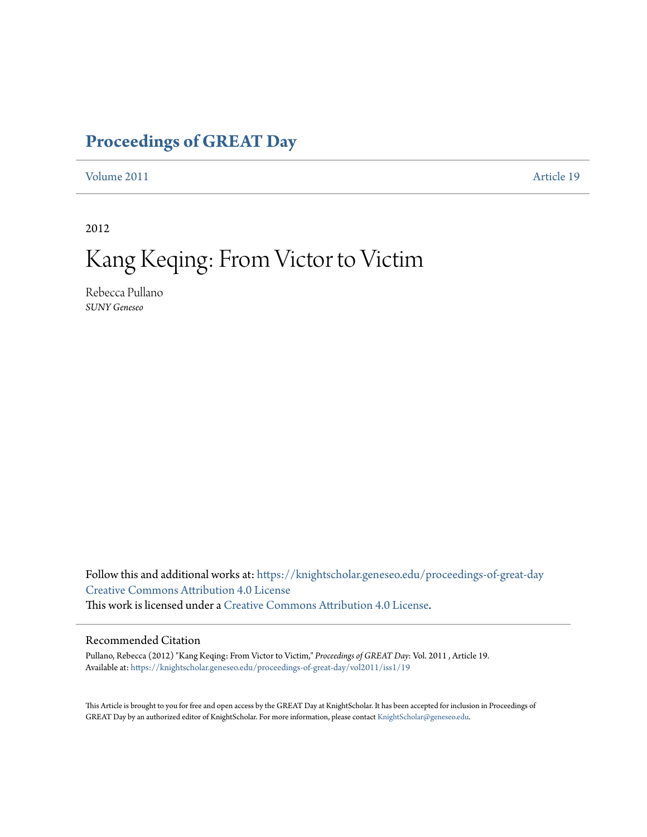## **[Proceedings of GREAT Day](https://knightscholar.geneseo.edu/proceedings-of-great-day?utm_source=knightscholar.geneseo.edu%2Fproceedings-of-great-day%2Fvol2011%2Fiss1%2F19&utm_medium=PDF&utm_campaign=PDFCoverPages)**

[Volume 2011](https://knightscholar.geneseo.edu/proceedings-of-great-day/vol2011?utm_source=knightscholar.geneseo.edu%2Fproceedings-of-great-day%2Fvol2011%2Fiss1%2F19&utm_medium=PDF&utm_campaign=PDFCoverPages) **[Article 19](https://knightscholar.geneseo.edu/proceedings-of-great-day/vol2011/iss1/19?utm_source=knightscholar.geneseo.edu%2Fproceedings-of-great-day%2Fvol2011%2Fiss1%2F19&utm_medium=PDF&utm_campaign=PDFCoverPages)** 

2012

# Kang Keqing: From Victor to Victim

Rebecca Pullano *SUNY Geneseo*

Follow this and additional works at: [https://knightscholar.geneseo.edu/proceedings-of-great-day](https://knightscholar.geneseo.edu/proceedings-of-great-day?utm_source=knightscholar.geneseo.edu%2Fproceedings-of-great-day%2Fvol2011%2Fiss1%2F19&utm_medium=PDF&utm_campaign=PDFCoverPages) [Creative Commons Attribution 4.0 License](http://creativecommons.org/licenses/by/4.0/) This work is licensed under a [Creative Commons Attribution 4.0 License.](http://creativecommons.org/licenses/by/4.0/)

### Recommended Citation

Pullano, Rebecca (2012) "Kang Keqing: From Victor to Victim," *Proceedings of GREAT Day*: Vol. 2011 , Article 19. Available at: [https://knightscholar.geneseo.edu/proceedings-of-great-day/vol2011/iss1/19](https://knightscholar.geneseo.edu/proceedings-of-great-day/vol2011/iss1/19?utm_source=knightscholar.geneseo.edu%2Fproceedings-of-great-day%2Fvol2011%2Fiss1%2F19&utm_medium=PDF&utm_campaign=PDFCoverPages)

This Article is brought to you for free and open access by the GREAT Day at KnightScholar. It has been accepted for inclusion in Proceedings of GREAT Day by an authorized editor of KnightScholar. For more information, please contact [KnightScholar@geneseo.edu.](mailto:KnightScholar@geneseo.edu)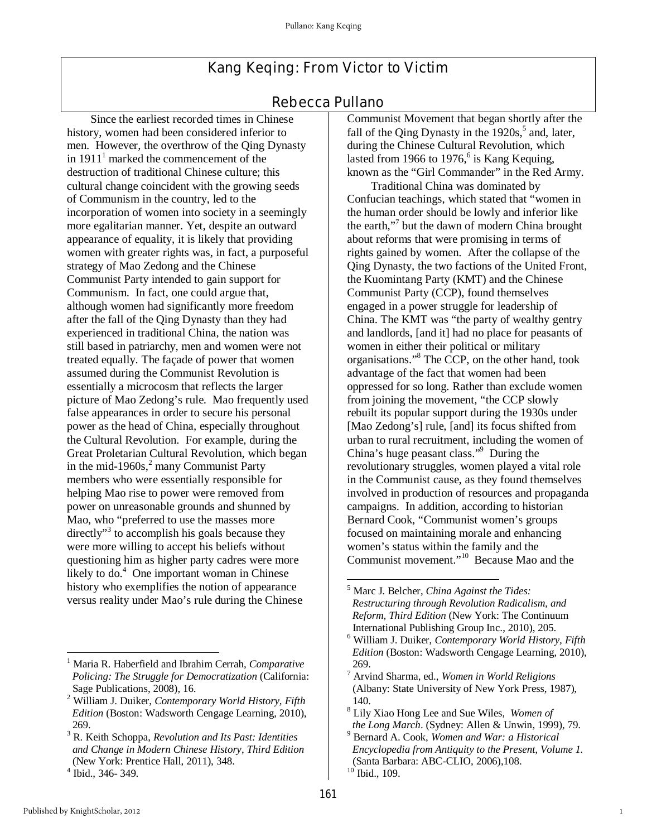## Kang Keqing: From Victor to Victim

## Rebecca Pullano

 Since the earliest recorded times in Chinese history, women had been considered inferior to men. However, the overthrow of the Qing Dynasty in  $1911<sup>1</sup>$  marked the commencement of the destruction of traditional Chinese culture; this cultural change coincident with the growing seeds of Communism in the country, led to the incorporation of women into society in a seemingly more egalitarian manner. Yet, despite an outward appearance of equality, it is likely that providing women with greater rights was, in fact, a purposeful strategy of Mao Zedong and the Chinese Communist Party intended to gain support for Communism. In fact, one could argue that, although women had significantly more freedom after the fall of the Qing Dynasty than they had experienced in traditional China, the nation was still based in patriarchy, men and women were not treated equally. The façade of power that women assumed during the Communist Revolution is essentially a microcosm that reflects the larger picture of Mao Zedong's rule. Mao frequently used false appearances in order to secure his personal power as the head of China, especially throughout the Cultural Revolution. For example, during the Great Proletarian Cultural Revolution, which began in the mid-1960s, $2$  many Communist Party members who were essentially responsible for helping Mao rise to power were removed from power on unreasonable grounds and shunned by Mao, who "preferred to use the masses more directly"<sup>3</sup> to accomplish his goals because they were more willing to accept his beliefs without questioning him as higher party cadres were more likely to do.<sup>4</sup> One important woman in Chinese history who exemplifies the notion of appearance versus reality under Mao's rule during the Chinese

Communist Movement that began shortly after the fall of the Qing Dynasty in the  $1920s$ ,<sup>5</sup> and, later, during the Chinese Cultural Revolution, which lasted from 1966 to 1976, $6$  is Kang Kequing, known as the "Girl Commander" in the Red Army.

 Traditional China was dominated by Confucian teachings, which stated that "women in the human order should be lowly and inferior like the earth,"<sup>7</sup> but the dawn of modern China brought about reforms that were promising in terms of rights gained by women. After the collapse of the Qing Dynasty, the two factions of the United Front, the Kuomintang Party (KMT) and the Chinese Communist Party (CCP), found themselves engaged in a power struggle for leadership of China. The KMT was "the party of wealthy gentry and landlords, [and it] had no place for peasants of women in either their political or military organisations."<sup>8</sup> The CCP, on the other hand, took advantage of the fact that women had been oppressed for so long. Rather than exclude women from joining the movement, "the CCP slowly rebuilt its popular support during the 1930s under [Mao Zedong's] rule, [and] its focus shifted from urban to rural recruitment, including the women of China's huge peasant class."<sup>9</sup> During the revolutionary struggles, women played a vital role in the Communist cause, as they found themselves involved in production of resources and propaganda campaigns. In addition, according to historian Bernard Cook, "Communist women's groups focused on maintaining morale and enhancing women's status within the family and the Communist movement."<sup>10</sup> Because Mao and the

1

-

<sup>1</sup> Maria R. Haberfield and Ibrahim Cerrah, *Comparative Policing: The Struggle for Democratization* (California: Sage Publications, 2008), 16.

<sup>2</sup> William J. Duiker, *Contemporary World History, Fifth Edition* (Boston: Wadsworth Cengage Learning, 2010), 269.

<sup>3</sup> R. Keith Schoppa, *Revolution and Its Past: Identities and Change in Modern Chinese History*, *Third Edition* (New York: Prentice Hall, 2011), 348.

<sup>4</sup> Ibid., 346- 349.

 $\overline{a}$ 5 Marc J. Belcher, *China Against the Tides: Restructuring through Revolution Radicalism, and Reform, Third Edition* (New York: The Continuum International Publishing Group Inc., 2010), 205.

<sup>6</sup> William J. Duiker, *Contemporary World History, Fifth Edition* (Boston: Wadsworth Cengage Learning, 2010), 269.

<sup>7</sup> Arvind Sharma, ed., *Women in World Religions* (Albany: State University of New York Press, 1987), 140.

<sup>8</sup> Lily Xiao Hong Lee and Sue Wiles, *Women of the Long March*. (Sydney: Allen & Unwin, 1999), 79.

<sup>9</sup> Bernard A. Cook, *Women and War: a Historical Encyclopedia from Antiquity to the Present, Volume 1.* (Santa Barbara: ABC-CLIO, 2006),108.  $10$  Ibid., 109.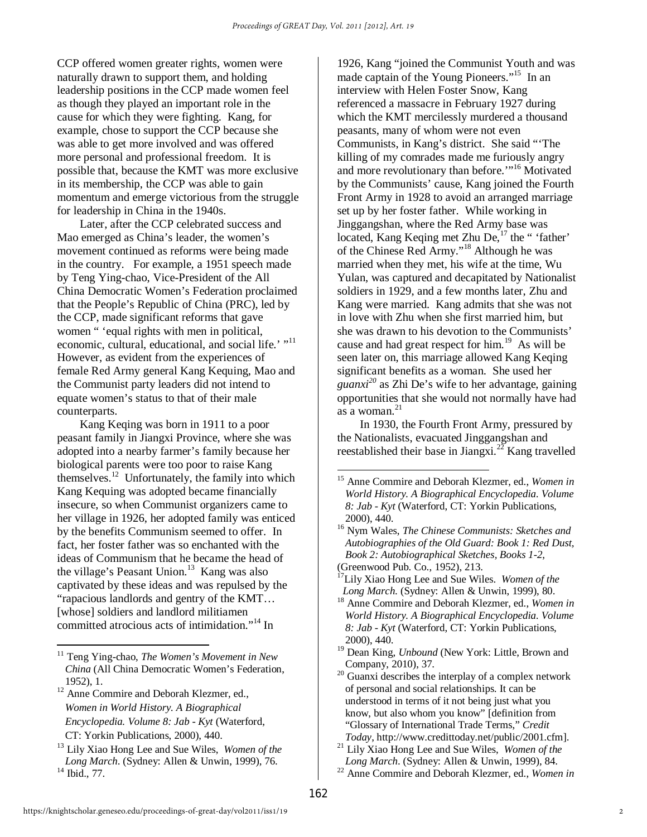CCP offered women greater rights, women were naturally drawn to support them, and holding leadership positions in the CCP made women feel as though they played an important role in the cause for which they were fighting. Kang, for example, chose to support the CCP because she was able to get more involved and was offered more personal and professional freedom. It is possible that, because the KMT was more exclusive in its membership, the CCP was able to gain momentum and emerge victorious from the struggle for leadership in China in the 1940s.

Later, after the CCP celebrated success and Mao emerged as China's leader, the women's movement continued as reforms were being made in the country. For example, a 1951 speech made by Teng Ying-chao, Vice-President of the All China Democratic Women's Federation proclaimed that the People's Republic of China (PRC), led by the CCP, made significant reforms that gave women " 'equal rights with men in political, economic, cultural, educational, and social life.' "<sup>11</sup> However, as evident from the experiences of female Red Army general Kang Kequing, Mao and the Communist party leaders did not intend to equate women's status to that of their male counterparts.

Kang Keqing was born in 1911 to a poor peasant family in Jiangxi Province, where she was adopted into a nearby farmer's family because her biological parents were too poor to raise Kang themselves.<sup>12</sup> Unfortunately, the family into which Kang Kequing was adopted became financially insecure, so when Communist organizers came to her village in 1926, her adopted family was enticed by the benefits Communism seemed to offer. In fact, her foster father was so enchanted with the ideas of Communism that he became the head of the village's Peasant Union. $13$  Kang was also captivated by these ideas and was repulsed by the "rapacious landlords and gentry of the KMT… [whose] soldiers and landlord militiamen committed atrocious acts of intimidation."<sup>14</sup> In

<sup>11</sup> Teng Ying-chao, *The Women's Movement in New China* (All China Democratic Women's Federation, 1952), 1.

 $\overline{\phantom{a}}$ 

<sup>12</sup> Anne Commire and Deborah Klezmer, ed., *Women in World History. A Biographical Encyclopedia. Volume 8: Jab - Kyt* (Waterford, CT: Yorkin Publications, 2000), 440.

1926, Kang "joined the Communist Youth and was made captain of the Young Pioneers."<sup>15</sup> In an interview with Helen Foster Snow, Kang referenced a massacre in February 1927 during which the KMT mercilessly murdered a thousand peasants, many of whom were not even Communists, in Kang's district. She said "'The killing of my comrades made me furiously angry and more revolutionary than before.'"<sup>16</sup> Motivated by the Communists' cause, Kang joined the Fourth Front Army in 1928 to avoid an arranged marriage set up by her foster father. While working in Jinggangshan, where the Red Army base was located, Kang Keqing met Zhu De,<sup>17</sup> the " 'father' of the Chinese Red Army."<sup>18</sup> Although he was married when they met, his wife at the time, Wu Yulan, was captured and decapitated by Nationalist soldiers in 1929, and a few months later, Zhu and Kang were married. Kang admits that she was not in love with Zhu when she first married him, but she was drawn to his devotion to the Communists' cause and had great respect for him.<sup>19</sup> As will be seen later on, this marriage allowed Kang Keqing significant benefits as a woman. She used her *guanxi<sup>20</sup>* as Zhi De's wife to her advantage, gaining opportunities that she would not normally have had as a woman. $^{21}$ 

In 1930, the Fourth Front Army, pressured by the Nationalists, evacuated Jinggangshan and reestablished their base in Jiangxi.<sup>22</sup> Kang travelled

 $\overline{a}$ 

<sup>13</sup> Lily Xiao Hong Lee and Sue Wiles, *Women of the Long March*. (Sydney: Allen & Unwin, 1999), 76. <sup>14</sup> Ibid., 77.

<sup>15</sup> Anne Commire and Deborah Klezmer, ed., *Women in World History. A Biographical Encyclopedia. Volume 8: Jab - Kyt* (Waterford, CT: Yorkin Publications, 2000), 440.

<sup>16</sup> Nym Wales, *The Chinese Communists: Sketches and Autobiographies of the Old Guard: Book 1: Red Dust, Book 2: Autobiographical Sketches, Books 1-2*, (Greenwood Pub. Co., 1952), 213.

<sup>17</sup>Lily Xiao Hong Lee and Sue Wiles. *Women of the Long March*. (Sydney: Allen & Unwin, 1999), 80.

<sup>18</sup> Anne Commire and Deborah Klezmer, ed., *Women in World History. A Biographical Encyclopedia. Volume 8: Jab - Kyt* (Waterford, CT: Yorkin Publications, 2000), 440.

<sup>19</sup> Dean King, *Unbound* (New York: Little, Brown and Company, 2010), 37.

<sup>20</sup> Guanxi describes the interplay of a complex network of personal and social relationships. It can be understood in terms of it not being just what you know, but also whom you know" [definition from "Glossary of International Trade Terms," *Credit Today*, http://www.credittoday.net/public/2001.cfm].

<sup>21</sup> Lily Xiao Hong Lee and Sue Wiles, *Women of the Long March*. (Sydney: Allen & Unwin, 1999), 84. <sup>22</sup> Anne Commire and Deborah Klezmer, ed., *Women in*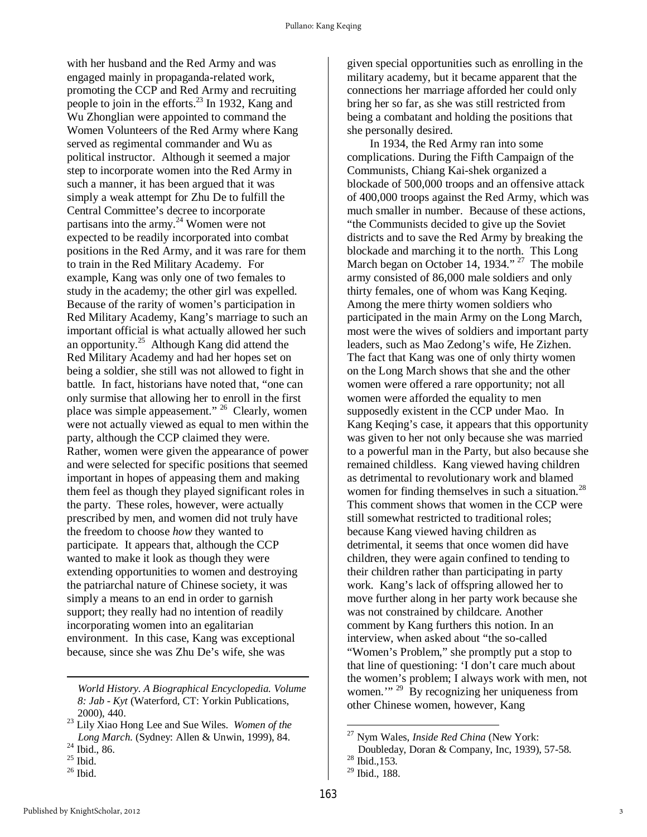with her husband and the Red Army and was engaged mainly in propaganda-related work, promoting the CCP and Red Army and recruiting people to join in the efforts. $^{23}$  In 1932, Kang and Wu Zhonglian were appointed to command the Women Volunteers of the Red Army where Kang served as regimental commander and Wu as political instructor. Although it seemed a major step to incorporate women into the Red Army in such a manner, it has been argued that it was simply a weak attempt for Zhu De to fulfill the Central Committee's decree to incorporate partisans into the army. $^{24}$  Women were not expected to be readily incorporated into combat positions in the Red Army, and it was rare for them to train in the Red Military Academy. For example, Kang was only one of two females to study in the academy; the other girl was expelled. Because of the rarity of women's participation in Red Military Academy, Kang's marriage to such an important official is what actually allowed her such an opportunity.<sup>25</sup> Although Kang did attend the Red Military Academy and had her hopes set on being a soldier, she still was not allowed to fight in battle. In fact, historians have noted that, "one can only surmise that allowing her to enroll in the first place was simple appeasement." <sup>26</sup> Clearly, women were not actually viewed as equal to men within the party, although the CCP claimed they were. Rather, women were given the appearance of power and were selected for specific positions that seemed important in hopes of appeasing them and making them feel as though they played significant roles in the party. These roles, however, were actually prescribed by men, and women did not truly have the freedom to choose *how* they wanted to participate. It appears that, although the CCP wanted to make it look as though they were extending opportunities to women and destroying the patriarchal nature of Chinese society, it was simply a means to an end in order to garnish support; they really had no intention of readily incorporating women into an egalitarian environment. In this case, Kang was exceptional because, since she was Zhu De's wife, she was

**.** 

given special opportunities such as enrolling in the military academy, but it became apparent that the connections her marriage afforded her could only bring her so far, as she was still restricted from being a combatant and holding the positions that she personally desired.

In 1934, the Red Army ran into some complications. During the Fifth Campaign of the Communists, Chiang Kai-shek organized a blockade of 500,000 troops and an offensive attack of 400,000 troops against the Red Army, which was much smaller in number. Because of these actions, "the Communists decided to give up the Soviet districts and to save the Red Army by breaking the blockade and marching it to the north. This Long March began on October 14, 1934." <sup>27</sup> The mobile army consisted of 86,000 male soldiers and only thirty females, one of whom was Kang Keqing. Among the mere thirty women soldiers who participated in the main Army on the Long March, most were the wives of soldiers and important party leaders, such as Mao Zedong's wife, He Zizhen. The fact that Kang was one of only thirty women on the Long March shows that she and the other women were offered a rare opportunity; not all women were afforded the equality to men supposedly existent in the CCP under Mao. In Kang Keqing's case, it appears that this opportunity was given to her not only because she was married to a powerful man in the Party, but also because she remained childless. Kang viewed having children as detrimental to revolutionary work and blamed women for finding themselves in such a situation. $^{28}$ This comment shows that women in the CCP were still somewhat restricted to traditional roles; because Kang viewed having children as detrimental, it seems that once women did have children, they were again confined to tending to their children rather than participating in party work. Kang's lack of offspring allowed her to move further along in her party work because she was not constrained by childcare. Another comment by Kang furthers this notion. In an interview, when asked about "the so-called "Women's Problem," she promptly put a stop to that line of questioning: 'I don't care much about the women's problem; I always work with men, not women."<sup>29</sup> By recognizing her uniqueness from other Chinese women, however, Kang

*World History. A Biographical Encyclopedia. Volume 8: Jab - Kyt* (Waterford, CT: Yorkin Publications, 2000), 440.

<sup>23</sup> Lily Xiao Hong Lee and Sue Wiles. *Women of the Long March*. (Sydney: Allen & Unwin, 1999), 84.

<sup>24</sup> Ibid., 86.

 $^{25}$  Ibid.

 $26$  Ibid.

 $\overline{a}$ <sup>27</sup> Nym Wales, *Inside Red China* (New York:

Doubleday, Doran & Company, Inc, 1939), 57-58.

<sup>28</sup> Ibid.,153.

 $29$  Ibid., 188.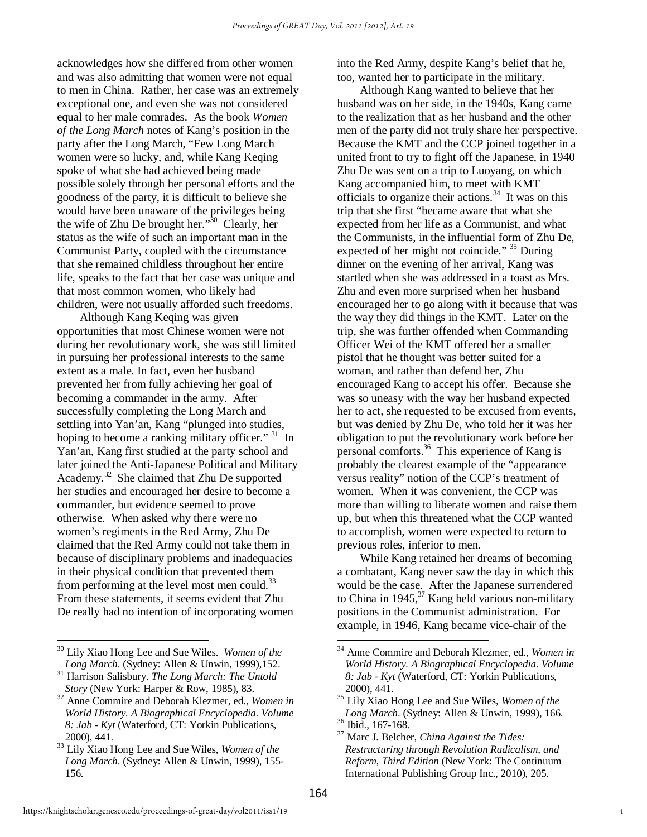acknowledges how she differed from other women and was also admitting that women were not equal to men in China. Rather, her case was an extremely exceptional one, and even she was not considered equal to her male comrades. As the book *Women of the Long March* notes of Kang's position in the party after the Long March, "Few Long March women were so lucky, and, while Kang Keqing spoke of what she had achieved being made possible solely through her personal efforts and the goodness of the party, it is difficult to believe she would have been unaware of the privileges being the wife of Zhu De brought her." $30\degree$  Clearly, her status as the wife of such an important man in the Communist Party, coupled with the circumstance that she remained childless throughout her entire life, speaks to the fact that her case was unique and that most common women, who likely had children, were not usually afforded such freedoms.

Although Kang Keqing was given opportunities that most Chinese women were not during her revolutionary work, she was still limited in pursuing her professional interests to the same extent as a male. In fact, even her husband prevented her from fully achieving her goal of becoming a commander in the army. After successfully completing the Long March and settling into Yan'an, Kang "plunged into studies, hoping to become a ranking military officer." <sup>31</sup> In Yan'an, Kang first studied at the party school and later joined the Anti-Japanese Political and Military Academy.<sup>32</sup> She claimed that Zhu De supported her studies and encouraged her desire to become a commander, but evidence seemed to prove otherwise. When asked why there were no women's regiments in the Red Army, Zhu De claimed that the Red Army could not take them in because of disciplinary problems and inadequacies in their physical condition that prevented them from performing at the level most men could.<sup>33</sup> From these statements, it seems evident that Zhu De really had no intention of incorporating women

Although Kang wanted to believe that her husband was on her side, in the 1940s, Kang came to the realization that as her husband and the other men of the party did not truly share her perspective. Because the KMT and the CCP joined together in a united front to try to fight off the Japanese, in 1940 Zhu De was sent on a trip to Luoyang, on which Kang accompanied him, to meet with KMT officials to organize their actions.<sup>34</sup> It was on this trip that she first "became aware that what she expected from her life as a Communist, and what the Communists, in the influential form of Zhu De, expected of her might not coincide." <sup>35</sup> During dinner on the evening of her arrival, Kang was startled when she was addressed in a toast as Mrs. Zhu and even more surprised when her husband encouraged her to go along with it because that was the way they did things in the KMT. Later on the trip, she was further offended when Commanding Officer Wei of the KMT offered her a smaller pistol that he thought was better suited for a woman, and rather than defend her, Zhu encouraged Kang to accept his offer. Because she was so uneasy with the way her husband expected her to act, she requested to be excused from events, but was denied by Zhu De, who told her it was her obligation to put the revolutionary work before her personal comforts.<sup>36</sup> This experience of Kang is probably the clearest example of the "appearance versus reality" notion of the CCP's treatment of women. When it was convenient, the CCP was more than willing to liberate women and raise them up, but when this threatened what the CCP wanted to accomplish, women were expected to return to previous roles, inferior to men.

While Kang retained her dreams of becoming a combatant, Kang never saw the day in which this would be the case. After the Japanese surrendered to China in 1945,  $37$  Kang held various non-military positions in the Communist administration. For example, in 1946, Kang became vice-chair of the

**<sup>.</sup>** <sup>30</sup> Lily Xiao Hong Lee and Sue Wiles. *Women of the Long March*. (Sydney: Allen & Unwin, 1999),152.

<sup>31</sup> Harrison Salisbury. *The Long March: The Untold Story* (New York: Harper & Row, 1985), 83.

<sup>32</sup> Anne Commire and Deborah Klezmer, ed., *Women in World History. A Biographical Encyclopedia. Volume 8: Jab - Kyt* (Waterford, CT: Yorkin Publications, 2000), 441.

<sup>33</sup> Lily Xiao Hong Lee and Sue Wiles, *Women of the Long March*. (Sydney: Allen & Unwin, 1999), 155- 156.

 $\overline{\phantom{a}}$ <sup>34</sup> Anne Commire and Deborah Klezmer, ed., *Women in World History. A Biographical Encyclopedia. Volume 8: Jab - Kyt* (Waterford, CT: Yorkin Publications, 2000), 441.

<sup>35</sup> Lily Xiao Hong Lee and Sue Wiles, *Women of the Long March*. (Sydney: Allen & Unwin, 1999), 166.  $36$  Ibid., 167-168.

<sup>37</sup> Marc J. Belcher, *China Against the Tides: Restructuring through Revolution Radicalism, and Reform, Third Edition* (New York: The Continuum International Publishing Group Inc., 2010), 205.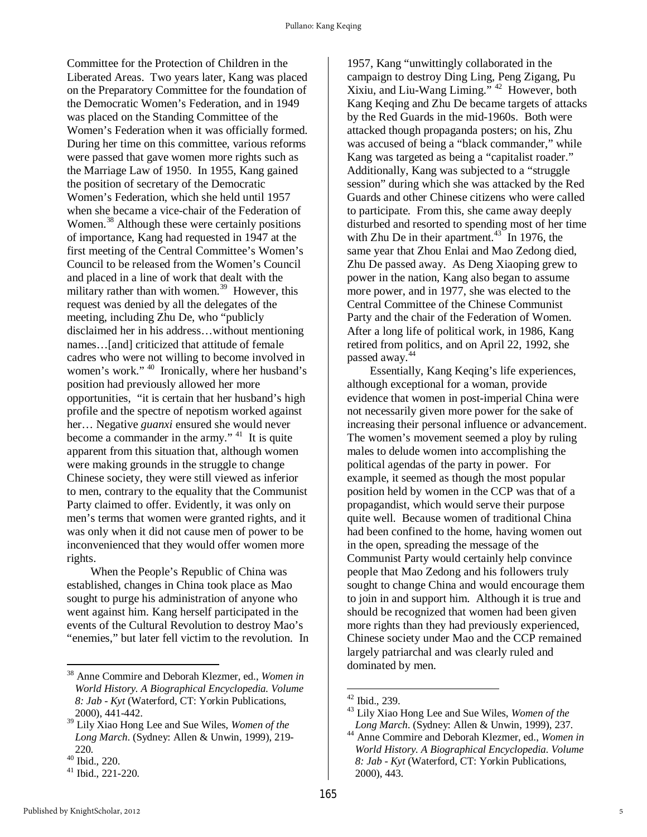Committee for the Protection of Children in the Liberated Areas. Two years later, Kang was placed on the Preparatory Committee for the foundation of the Democratic Women's Federation, and in 1949 was placed on the Standing Committee of the Women's Federation when it was officially formed. During her time on this committee, various reforms were passed that gave women more rights such as the Marriage Law of 1950. In 1955, Kang gained the position of secretary of the Democratic Women's Federation, which she held until 1957 when she became a vice-chair of the Federation of Women.<sup>38</sup> Although these were certainly positions of importance, Kang had requested in 1947 at the first meeting of the Central Committee's Women's Council to be released from the Women's Council and placed in a line of work that dealt with the military rather than with women.<sup>39</sup> However, this request was denied by all the delegates of the meeting, including Zhu De, who "publicly disclaimed her in his address…without mentioning names…[and] criticized that attitude of female cadres who were not willing to become involved in women's work."<sup>40</sup> Ironically, where her husband's position had previously allowed her more opportunities, "it is certain that her husband's high profile and the spectre of nepotism worked against her… Negative *guanxi* ensured she would never become a commander in the army."  $41$  It is quite apparent from this situation that, although women were making grounds in the struggle to change Chinese society, they were still viewed as inferior to men, contrary to the equality that the Communist Party claimed to offer. Evidently, it was only on men's terms that women were granted rights, and it was only when it did not cause men of power to be inconvenienced that they would offer women more rights.

 When the People's Republic of China was established, changes in China took place as Mao sought to purge his administration of anyone who went against him. Kang herself participated in the events of the Cultural Revolution to destroy Mao's "enemies," but later fell victim to the revolution. In

1957, Kang "unwittingly collaborated in the campaign to destroy Ding Ling, Peng Zigang, Pu Xixiu, and Liu-Wang Liming."  $42$  However, both Kang Keqing and Zhu De became targets of attacks by the Red Guards in the mid-1960s. Both were attacked though propaganda posters; on his, Zhu was accused of being a "black commander," while Kang was targeted as being a "capitalist roader." Additionally, Kang was subjected to a "struggle session" during which she was attacked by the Red Guards and other Chinese citizens who were called to participate. From this, she came away deeply disturbed and resorted to spending most of her time with Zhu De in their apartment. $43$  In 1976, the same year that Zhou Enlai and Mao Zedong died, Zhu De passed away. As Deng Xiaoping grew to power in the nation, Kang also began to assume more power, and in 1977, she was elected to the Central Committee of the Chinese Communist Party and the chair of the Federation of Women. After a long life of political work, in 1986, Kang retired from politics, and on April 22, 1992, she passed away.<sup>44</sup>

Essentially, Kang Keqing's life experiences, although exceptional for a woman, provide evidence that women in post-imperial China were not necessarily given more power for the sake of increasing their personal influence or advancement. The women's movement seemed a ploy by ruling males to delude women into accomplishing the political agendas of the party in power. For example, it seemed as though the most popular position held by women in the CCP was that of a propagandist, which would serve their purpose quite well. Because women of traditional China had been confined to the home, having women out in the open, spreading the message of the Communist Party would certainly help convince people that Mao Zedong and his followers truly sought to change China and would encourage them to join in and support him. Although it is true and should be recognized that women had been given more rights than they had previously experienced, Chinese society under Mao and the CCP remained largely patriarchal and was clearly ruled and dominated by men.

 $\overline{\phantom{a}}$ 

1

<sup>38</sup> Anne Commire and Deborah Klezmer, ed., *Women in World History. A Biographical Encyclopedia. Volume 8: Jab - Kyt* (Waterford, CT: Yorkin Publications, 2000), 441-442.

<sup>39</sup> Lily Xiao Hong Lee and Sue Wiles, *Women of the Long March*. (Sydney: Allen & Unwin, 1999), 219- 220.

<sup>40</sup> Ibid., 220.

<sup>41</sup> Ibid., 221-220.

<sup>42</sup> Ibid., 239.

<sup>43</sup> Lily Xiao Hong Lee and Sue Wiles, *Women of the Long March*. (Sydney: Allen & Unwin, 1999), 237.

<sup>44</sup> Anne Commire and Deborah Klezmer, ed., *Women in World History. A Biographical Encyclopedia. Volume 8: Jab - Kyt* (Waterford, CT: Yorkin Publications, 2000), 443.